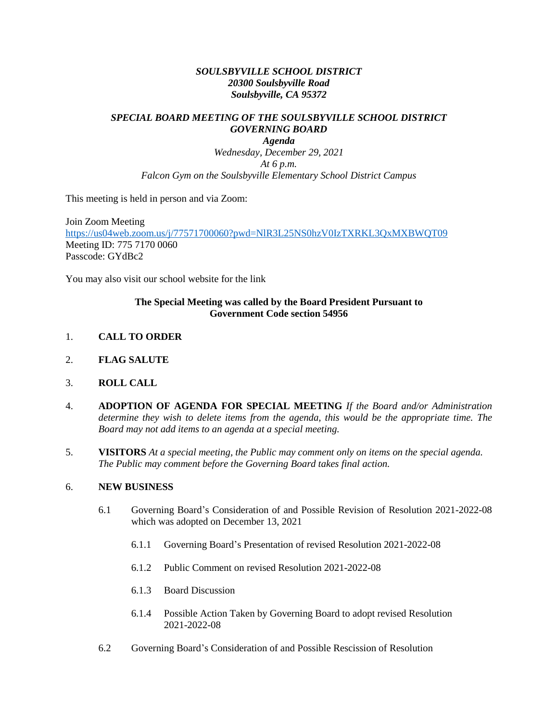## *SOULSBYVILLE SCHOOL DISTRICT 20300 Soulsbyville Road Soulsbyville, CA 95372*

## *SPECIAL BOARD MEETING OF THE SOULSBYVILLE SCHOOL DISTRICT GOVERNING BOARD*

*Agenda Wednesday, December 29, 2021 At 6 p.m. Falcon Gym on the Soulsbyville Elementary School District Campus* 

This meeting is held in person and via Zoom:

Join Zoom Meeting <https://us04web.zoom.us/j/77571700060?pwd=NlR3L25NS0hzV0IzTXRKL3QxMXBWQT09> Meeting ID: 775 7170 0060 Passcode: GYdBc2

You may also visit our school website for the link

## **The Special Meeting was called by the Board President Pursuant to Government Code section 54956**

- 1. **CALL TO ORDER**
- 2. **FLAG SALUTE**
- 3. **ROLL CALL**
- 4. **ADOPTION OF AGENDA FOR SPECIAL MEETING** *If the Board and/or Administration determine they wish to delete items from the agenda, this would be the appropriate time. The Board may not add items to an agenda at a special meeting.*
- 5. **VISITORS** *At a special meeting, the Public may comment only on items on the special agenda. The Public may comment before the Governing Board takes final action.*

## 6. **NEW BUSINESS**

- 6.1 Governing Board's Consideration of and Possible Revision of Resolution 2021-2022-08 which was adopted on December 13, 2021
	- 6.1.1 Governing Board's Presentation of revised Resolution 2021-2022-08
	- 6.1.2 Public Comment on revised Resolution 2021-2022-08
	- 6.1.3 Board Discussion
	- 6.1.4 Possible Action Taken by Governing Board to adopt revised Resolution 2021-2022-08
- 6.2 Governing Board's Consideration of and Possible Rescission of Resolution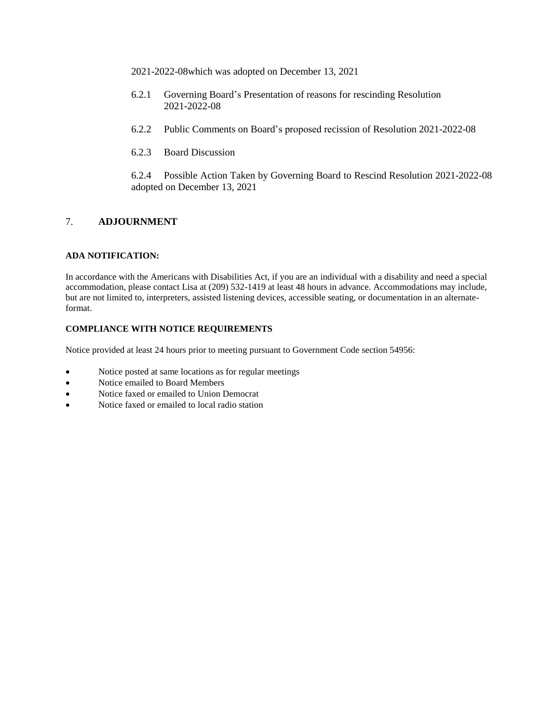2021-2022-08which was adopted on December 13, 2021

- 6.2.1 Governing Board's Presentation of reasons for rescinding Resolution 2021-2022-08
- 6.2.2 Public Comments on Board's proposed recission of Resolution 2021-2022-08
- 6.2.3 Board Discussion

6.2.4 Possible Action Taken by Governing Board to Rescind Resolution 2021-2022-08 adopted on December 13, 2021

## 7. **ADJOURNMENT**

### **ADA NOTIFICATION:**

In accordance with the Americans with Disabilities Act, if you are an individual with a disability and need a special accommodation, please contact Lisa at (209) 532-1419 at least 48 hours in advance. Accommodations may include, but are not limited to, interpreters, assisted listening devices, accessible seating, or documentation in an alternateformat.

## **COMPLIANCE WITH NOTICE REQUIREMENTS**

Notice provided at least 24 hours prior to meeting pursuant to Government Code section 54956:

- Notice posted at same locations as for regular meetings
- Notice emailed to Board Members
- Notice faxed or emailed to Union Democrat
- Notice faxed or emailed to local radio station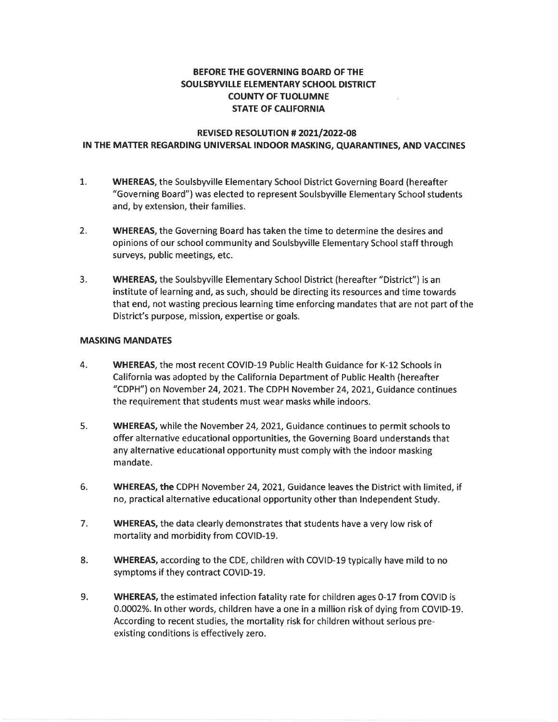## BEFORE THE GOVERNING BOARD OF THE SOULSBYVILLE ELEMENTARY SCHOOL DISTRICT **COUNTY OF TUOLUMNE STATE OF CALIFORNIA**

## REVISED RESOLUTION # 2021/2022-08 IN THE MATTER REGARDING UNIVERSAL INDOOR MASKING, QUARANTINES, AND VACCINES

- $1<sub>1</sub>$ **WHEREAS, the Soulsbyville Elementary School District Governing Board (hereafter** "Governing Board") was elected to represent Soulsbyville Elementary School students and, by extension, their families.
- $2.$ **WHEREAS**, the Governing Board has taken the time to determine the desires and opinions of our school community and Soulsbyville Elementary School staff through surveys, public meetings, etc.
- $3.$ **WHEREAS**, the Soulsbyville Elementary School District (hereafter "District") is an institute of learning and, as such, should be directing its resources and time towards that end, not wasting precious learning time enforcing mandates that are not part of the District's purpose, mission, expertise or goals.

## **MASKING MANDATES**

- 4. WHEREAS, the most recent COVID-19 Public Health Guidance for K-12 Schools in California was adopted by the California Department of Public Health (hereafter "CDPH") on November 24, 2021. The CDPH November 24, 2021, Guidance continues the requirement that students must wear masks while indoors.
- 5. WHEREAS, while the November 24, 2021, Guidance continues to permit schools to offer alternative educational opportunities, the Governing Board understands that any alternative educational opportunity must comply with the indoor masking mandate.
- 6. WHEREAS, the CDPH November 24, 2021, Guidance leaves the District with limited, if no, practical alternative educational opportunity other than Independent Study.
- 7. WHEREAS, the data clearly demonstrates that students have a very low risk of mortality and morbidity from COVID-19.
- 8. WHEREAS, according to the CDE, children with COVID-19 typically have mild to no symptoms if they contract COVID-19.
- 9. WHEREAS, the estimated infection fatality rate for children ages 0-17 from COVID is 0.0002%. In other words, children have a one in a million risk of dying from COVID-19. According to recent studies, the mortality risk for children without serious preexisting conditions is effectively zero.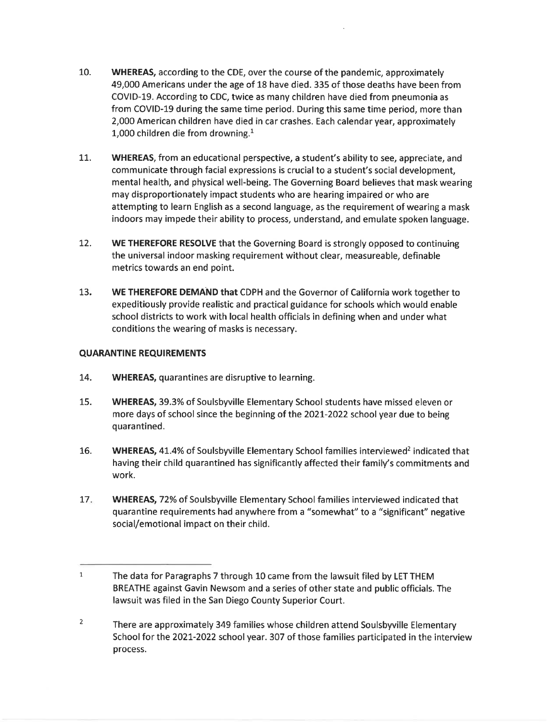- $10.$ **WHEREAS, according to the CDE, over the course of the pandemic, approximately** 49,000 Americans under the age of 18 have died. 335 of those deaths have been from COVID-19. According to CDC, twice as many children have died from pneumonia as from COVID-19 during the same time period. During this same time period, more than 2,000 American children have died in car crashes. Each calendar year, approximately 1,000 children die from drowning. $<sup>1</sup>$ </sup>
- 11. WHEREAS, from an educational perspective, a student's ability to see, appreciate, and communicate through facial expressions is crucial to a student's social development, mental health, and physical well-being. The Governing Board believes that mask wearing may disproportionately impact students who are hearing impaired or who are attempting to learn English as a second language, as the requirement of wearing a mask indoors may impede their ability to process, understand, and emulate spoken language.
- $12.$ WE THEREFORE RESOLVE that the Governing Board is strongly opposed to continuing the universal indoor masking requirement without clear, measureable, definable metrics towards an end point.
- WE THEREFORE DEMAND that CDPH and the Governor of California work together to 13. expeditiously provide realistic and practical guidance for schools which would enable school districts to work with local health officials in defining when and under what conditions the wearing of masks is necessary.

## **QUARANTINE REQUIREMENTS**

- 14. **WHEREAS, quarantines are disruptive to learning.**
- 15. WHEREAS, 39.3% of Soulsbyville Elementary School students have missed eleven or more days of school since the beginning of the 2021-2022 school year due to being quarantined.
- 16. WHEREAS, 41.4% of Soulsbyville Elementary School families interviewed<sup>2</sup> indicated that having their child quarantined has significantly affected their family's commitments and work.
- $17.$ WHEREAS, 72% of Soulsbyville Elementary School families interviewed indicated that quarantine requirements had anywhere from a "somewhat" to a "significant" negative social/emotional impact on their child.

 $\mathbf{1}$ The data for Paragraphs 7 through 10 came from the lawsuit filed by LET THEM BREATHE against Gavin Newsom and a series of other state and public officials. The lawsuit was filed in the San Diego County Superior Court.

 $\overline{2}$ There are approximately 349 families whose children attend Soulsbyville Elementary School for the 2021-2022 school year. 307 of those families participated in the interview process.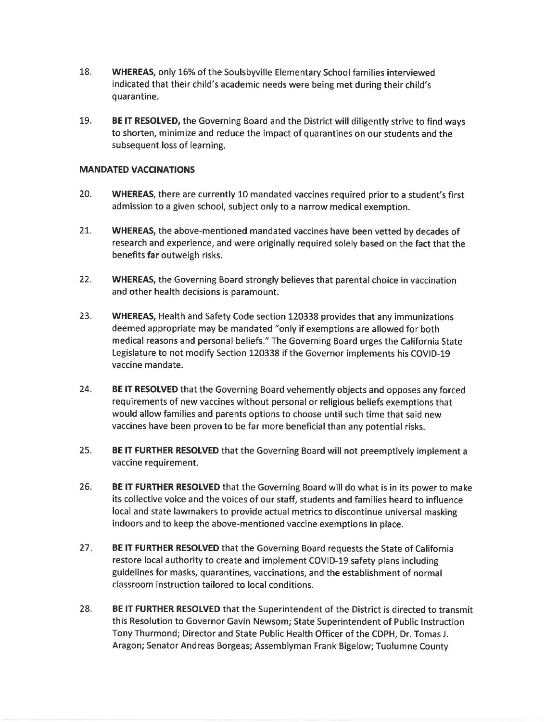- 18. **WHEREAS, only 16% of the Soulsbyville Elementary School families interviewed** indicated that their child's academic needs were being met during their child's quarantine.
- 19. BE IT RESOLVED, the Governing Board and the District will diligently strive to find ways to shorten, minimize and reduce the impact of quarantines on our students and the subsequent loss of learning.

## **MANDATED VACCINATIONS**

- 20. WHEREAS, there are currently 10 mandated vaccines required prior to a student's first admission to a given school, subject only to a narrow medical exemption.
- 21. WHEREAS, the above-mentioned mandated vaccines have been vetted by decades of research and experience, and were originally required solely based on the fact that the benefits far outweigh risks.
- $22.$ **WHEREAS**, the Governing Board strongly believes that parental choice in vaccination and other health decisions is paramount.
- 23. WHEREAS, Health and Safety Code section 120338 provides that any immunizations deemed appropriate may be mandated "only if exemptions are allowed for both medical reasons and personal beliefs." The Governing Board urges the California State Legislature to not modify Section 120338 if the Governor implements his COVID-19 vaccine mandate.
- 24. BE IT RESOLVED that the Governing Board vehemently objects and opposes any forced requirements of new vaccines without personal or religious beliefs exemptions that would allow families and parents options to choose until such time that said new vaccines have been proven to be far more beneficial than any potential risks.
- 25. BE IT FURTHER RESOLVED that the Governing Board will not preemptively implement a vaccine requirement.
- 26. BE IT FURTHER RESOLVED that the Governing Board will do what is in its power to make its collective voice and the voices of our staff, students and families heard to influence local and state lawmakers to provide actual metrics to discontinue universal masking indoors and to keep the above-mentioned vaccine exemptions in place.
- $27.$ BE IT FURTHER RESOLVED that the Governing Board requests the State of California restore local authority to create and implement COVID-19 safety plans including guidelines for masks, quarantines, vaccinations, and the establishment of normal classroom instruction tailored to local conditions.
- 28. BE IT FURTHER RESOLVED that the Superintendent of the District is directed to transmit this Resolution to Governor Gavin Newsom; State Superintendent of Public Instruction Tony Thurmond; Director and State Public Health Officer of the CDPH, Dr. Tomas J. Aragon; Senator Andreas Borgeas; Assemblyman Frank Bigelow; Tuolumne County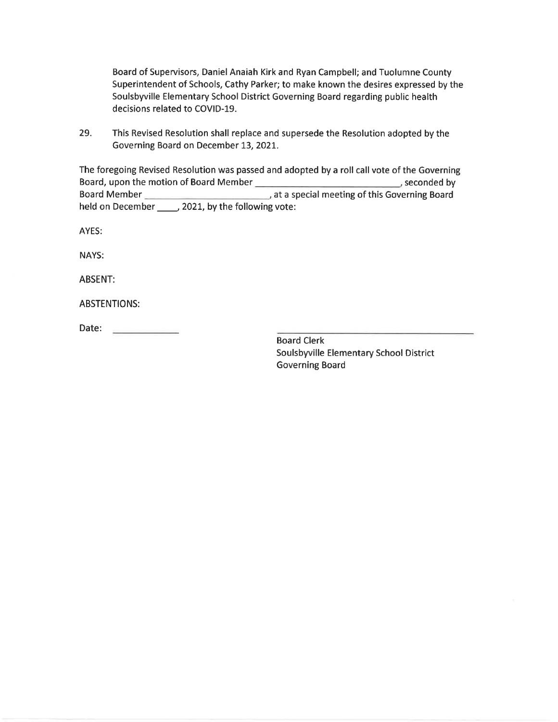Board of Supervisors, Daniel Anaiah Kirk and Ryan Campbell; and Tuolumne County Superintendent of Schools, Cathy Parker; to make known the desires expressed by the Soulsbyville Elementary School District Governing Board regarding public health decisions related to COVID-19.

29. This Revised Resolution shall replace and supersede the Resolution adopted by the Governing Board on December 13, 2021.

The foregoing Revised Resolution was passed and adopted by a roll call vote of the Governing at a special meeting of this Governing Board Board Member held on December \_\_\_\_\_\_, 2021, by the following vote:

AYES:

NAYS:

**ABSENT:** 

**ABSTENTIONS:** 

Date:

**Board Clerk** Soulsbyville Elementary School District **Governing Board**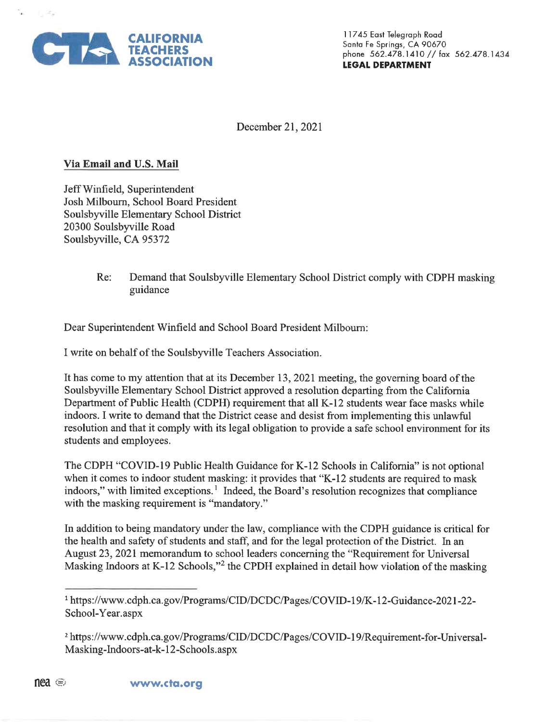

古代

11745 East Telegraph Road Santa Fe Springs, CA 90670 phone 562.478.1410 // fax 562.478.1434 **LEGAL DEPARTMENT** 

December 21, 2021

## Via Email and U.S. Mail

Jeff Winfield, Superintendent Josh Milbourn, School Board President Soulsbyville Elementary School District 20300 Soulsbyville Road Soulsbyville, CA 95372

> Re: Demand that Soulsbyville Elementary School District comply with CDPH masking guidance

Dear Superintendent Winfield and School Board President Milbourn:

I write on behalf of the Soulsbyville Teachers Association.

It has come to my attention that at its December 13, 2021 meeting, the governing board of the Soulsbyville Elementary School District approved a resolution departing from the California Department of Public Health (CDPH) requirement that all K-12 students wear face masks while indoors. I write to demand that the District cease and desist from implementing this unlawful resolution and that it comply with its legal obligation to provide a safe school environment for its students and employees.

The CDPH "COVID-19 Public Health Guidance for K-12 Schools in California" is not optional when it comes to indoor student masking: it provides that "K-12 students are required to mask indoors," with limited exceptions.<sup>1</sup> Indeed, the Board's resolution recognizes that compliance with the masking requirement is "mandatory."

In addition to being mandatory under the law, compliance with the CDPH guidance is critical for the health and safety of students and staff, and for the legal protection of the District. In an August 23, 2021 memorandum to school leaders concerning the "Requirement for Universal Masking Indoors at K-12 Schools,"<sup>2</sup> the CPDH explained in detail how violation of the masking

<sup>&</sup>lt;sup>1</sup> https://www.cdph.ca.gov/Programs/CID/DCDC/Pages/COVID-19/K-12-Guidance-2021-22-School-Year.aspx

<sup>&</sup>lt;sup>2</sup> https://www.cdph.ca.gov/Programs/CID/DCDC/Pages/COVID-19/Requirement-for-Universal-Masking-Indoors-at-k-12-Schools.aspx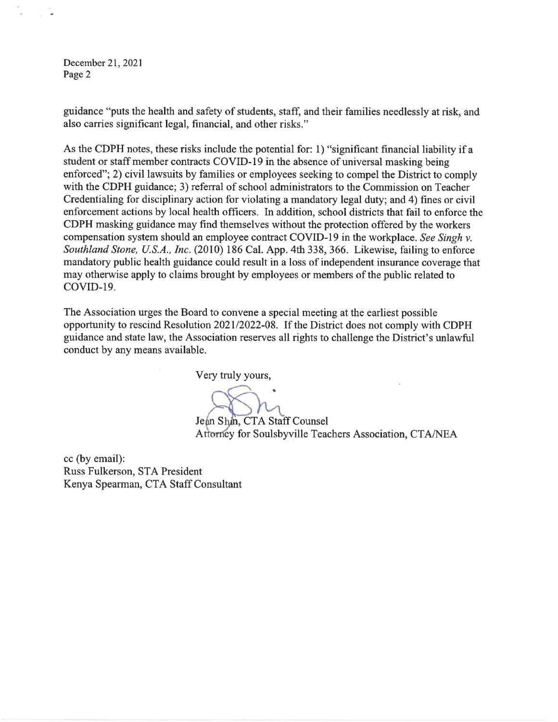December 21, 2021 Page 2

guidance "puts the health and safety of students, staff, and their families needlessly at risk, and also carries significant legal, financial, and other risks."

As the CDPH notes, these risks include the potential for: 1) "significant financial liability if a student or staff member contracts COVID-19 in the absence of universal masking being enforced"; 2) civil lawsuits by families or employees seeking to compel the District to comply with the CDPH guidance; 3) referral of school administrators to the Commission on Teacher Credentialing for disciplinary action for violating a mandatory legal duty; and 4) fines or civil enforcement actions by local health officers. In addition, school districts that fail to enforce the CDPH masking guidance may find themselves without the protection offered by the workers compensation system should an employee contract COVID-19 in the workplace. See Singh v. Southland Stone, U.S.A., Inc. (2010) 186 Cal. App. 4th 338, 366. Likewise, failing to enforce mandatory public health guidance could result in a loss of independent insurance coverage that may otherwise apply to claims brought by employees or members of the public related to COVID-19.

The Association urges the Board to convene a special meeting at the earliest possible opportunity to rescind Resolution 2021/2022-08. If the District does not comply with CDPH guidance and state law, the Association reserves all rights to challenge the District's unlawful conduct by any means available.

Very truly yours,

Jean Shin, CTA Staff Counsel Attorney for Soulsbyville Teachers Association, CTA/NEA

cc (by email): Russ Fulkerson, STA President Kenya Spearman, CTA Staff Consultant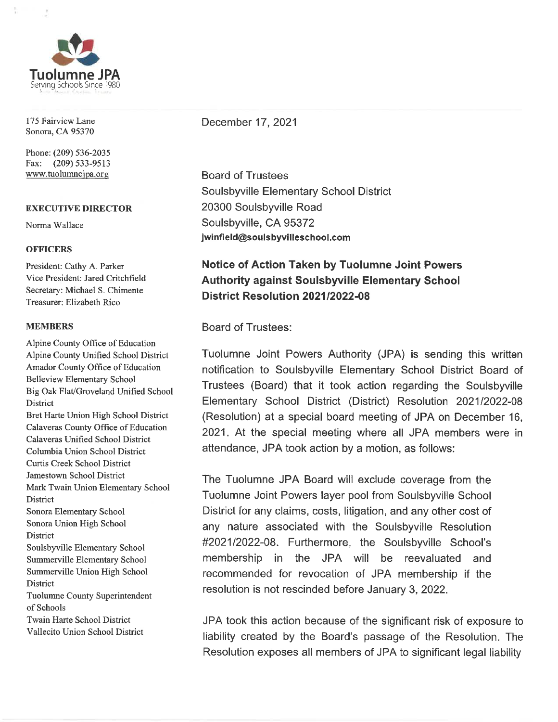

175 Fairview Lane Sonora, CA 95370

Phone: (209) 536-2035 Fax: (209) 533-9513 www.tuolumnejpa.org

## **EXECUTIVE DIRECTOR**

Norma Wallace

## **OFFICERS**

President: Cathy A. Parker Vice President: Jared Critchfield Secretary: Michael S. Chimente Treasurer: Elizabeth Rico

## **MEMBERS**

Alpine County Office of Education Alpine County Unified School District Amador County Office of Education **Belleview Elementary School** Big Oak Flat/Groveland Unified School District Bret Harte Union High School District Calaveras County Office of Education Calaveras Unified School District Columbia Union School District **Curtis Creek School District** Jamestown School District Mark Twain Union Elementary School **District** Sonora Elementary School Sonora Union High School **District** Soulsbyville Elementary School Summerville Elementary School Summerville Union High School **District Tuolumne County Superintendent** of Schools **Twain Harte School District** Vallecito Union School District

December 17, 2021

**Board of Trustees** Soulsbyville Elementary School District 20300 Soulsbyville Road Soulsbyville, CA 95372 jwinfield@soulsbyvilleschool.com

# **Notice of Action Taken by Tuolumne Joint Powers Authority against Soulsbyville Elementary School** District Resolution 2021/2022-08

**Board of Trustees:** 

Tuolumne Joint Powers Authority (JPA) is sending this written notification to Soulsbyville Elementary School District Board of Trustees (Board) that it took action regarding the Soulsbyville Elementary School District (District) Resolution 2021/2022-08 (Resolution) at a special board meeting of JPA on December 16, 2021. At the special meeting where all JPA members were in attendance, JPA took action by a motion, as follows:

The Tuolumne JPA Board will exclude coverage from the Tuolumne Joint Powers layer pool from Soulsbyville School District for any claims, costs, litigation, and any other cost of any nature associated with the Soulsbyville Resolution #2021/2022-08. Furthermore, the Soulsbyville School's membership in the JPA will be reevaluated and recommended for revocation of JPA membership if the resolution is not rescinded before January 3, 2022.

JPA took this action because of the significant risk of exposure to liability created by the Board's passage of the Resolution. The Resolution exposes all members of JPA to significant legal liability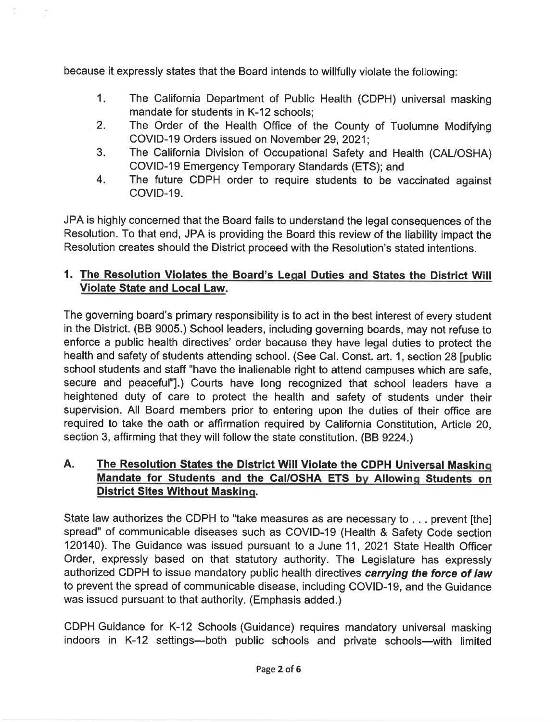because it expressly states that the Board intends to willfully violate the following:

- The California Department of Public Health (CDPH) universal masking  $1<sub>1</sub>$ mandate for students in K-12 schools;
- The Order of the Health Office of the County of Tuolumne Modifying  $2.$ COVID-19 Orders issued on November 29, 2021;
- The California Division of Occupational Safety and Health (CAL/OSHA) 3. COVID-19 Emergency Temporary Standards (ETS); and
- The future CDPH order to require students to be vaccinated against 4. COVID-19.

JPA is highly concerned that the Board fails to understand the legal consequences of the Resolution. To that end, JPA is providing the Board this review of the liability impact the Resolution creates should the District proceed with the Resolution's stated intentions.

## 1. The Resolution Violates the Board's Legal Duties and States the District Will **Violate State and Local Law.**

The governing board's primary responsibility is to act in the best interest of every student in the District. (BB 9005.) School leaders, including governing boards, may not refuse to enforce a public health directives' order because they have legal duties to protect the health and safety of students attending school. (See Cal. Const. art. 1, section 28 Ipublic school students and staff "have the inalienable right to attend campuses which are safe. secure and peaceful"].) Courts have long recognized that school leaders have a heightened duty of care to protect the health and safety of students under their supervision. All Board members prior to entering upon the duties of their office are required to take the oath or affirmation required by California Constitution, Article 20, section 3, affirming that they will follow the state constitution. (BB 9224.)

#### A. The Resolution States the District Will Violate the CDPH Universal Masking Mandate for Students and the Cal/OSHA ETS by Allowing Students on **District Sites Without Masking.**

State law authorizes the CDPH to "take measures as are necessary to . . . prevent [the] spread" of communicable diseases such as COVID-19 (Health & Safety Code section 120140). The Guidance was issued pursuant to a June 11, 2021 State Health Officer Order, expressly based on that statutory authority. The Legislature has expressly authorized CDPH to issue mandatory public health directives carrying the force of law to prevent the spread of communicable disease, including COVID-19, and the Guidance was issued pursuant to that authority. (Emphasis added.)

CDPH Guidance for K-12 Schools (Guidance) requires mandatory universal masking indoors in K-12 settings--both public schools and private schools--with limited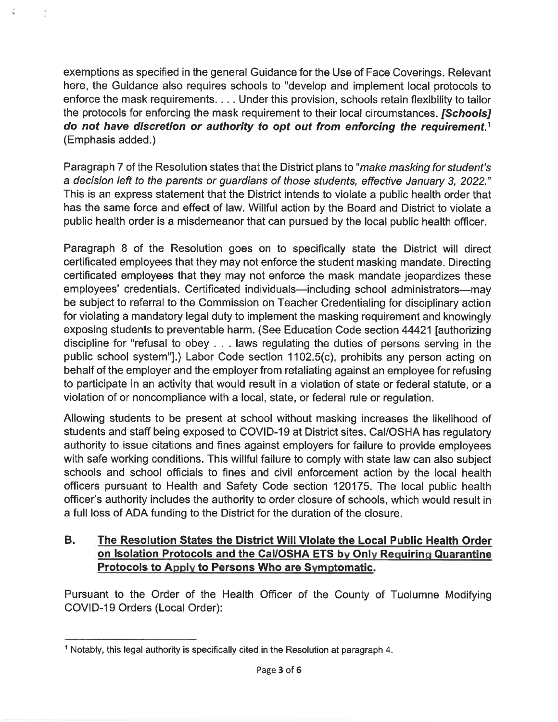exemptions as specified in the general Guidance for the Use of Face Coverings. Relevant here, the Guidance also requires schools to "develop and implement local protocols to enforce the mask requirements. . . . Under this provision, schools retain flexibility to tailor the protocols for enforcing the mask requirement to their local circumstances. [Schools] do not have discretion or authority to opt out from enforcing the requirement.<sup>1</sup> (Emphasis added.)

Paragraph 7 of the Resolution states that the District plans to "make masking for student's a decision left to the parents or guardians of those students, effective January 3, 2022." This is an express statement that the District intends to violate a public health order that has the same force and effect of law. Willful action by the Board and District to violate a public health order is a misdemeanor that can pursued by the local public health officer.

Paragraph 8 of the Resolution goes on to specifically state the District will direct certificated employees that they may not enforce the student masking mandate. Directing certificated employees that they may not enforce the mask mandate jeopardizes these employees' credentials. Certificated individuals—including school administrators—may be subject to referral to the Commission on Teacher Credentialing for disciplinary action for violating a mandatory legal duty to implement the masking requirement and knowingly exposing students to preventable harm. (See Education Code section 44421 [authorizing discipline for "refusal to obey . . . laws regulating the duties of persons serving in the public school system"].) Labor Code section 1102.5(c), prohibits any person acting on behalf of the employer and the employer from retaliating against an employee for refusing to participate in an activity that would result in a violation of state or federal statute, or a violation of or noncompliance with a local, state, or federal rule or regulation.

Allowing students to be present at school without masking increases the likelihood of students and staff being exposed to COVID-19 at District sites. Cal/OSHA has regulatory authority to issue citations and fines against employers for failure to provide employees with safe working conditions. This willful failure to comply with state law can also subject schools and school officials to fines and civil enforcement action by the local health officers pursuant to Health and Safety Code section 120175. The local public health officer's authority includes the authority to order closure of schools, which would result in a full loss of ADA funding to the District for the duration of the closure.

#### **B.** The Resolution States the District Will Violate the Local Public Health Order on Isolation Protocols and the Cal/OSHA ETS by Only Requiring Quarantine Protocols to Apply to Persons Who are Symptomatic.

Pursuant to the Order of the Health Officer of the County of Tuolumne Modifying COVID-19 Orders (Local Order):

<sup>&</sup>lt;sup>1</sup> Notably, this legal authority is specifically cited in the Resolution at paragraph 4.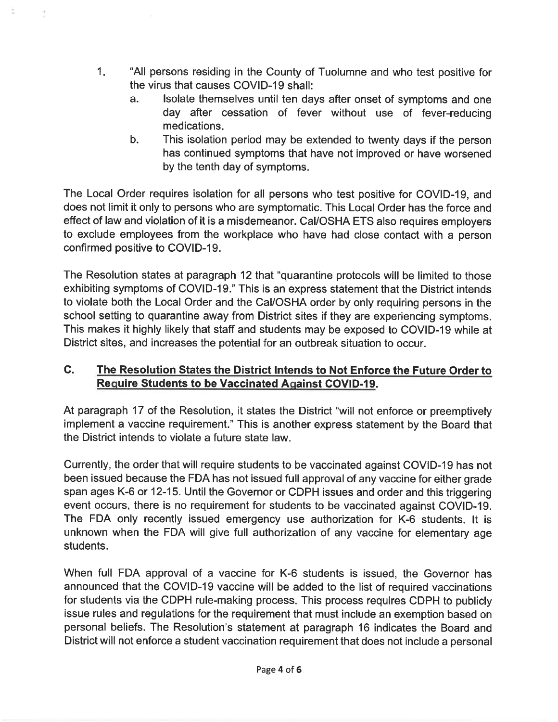- $1<sub>1</sub>$ "All persons residing in the County of Tuolumne and who test positive for the virus that causes COVID-19 shall:
	- Isolate themselves until ten days after onset of symptoms and one a. day after cessation of fever without use of fever-reducing medications.
	- $b.$ This isolation period may be extended to twenty days if the person has continued symptoms that have not improved or have worsened by the tenth day of symptoms.

The Local Order requires isolation for all persons who test positive for COVID-19, and does not limit it only to persons who are symptomatic. This Local Order has the force and effect of law and violation of it is a misdemeanor. Cal/OSHA ETS also requires employers to exclude employees from the workplace who have had close contact with a person confirmed positive to COVID-19.

The Resolution states at paragraph 12 that "quarantine protocols will be limited to those exhibiting symptoms of COVID-19." This is an express statement that the District intends to violate both the Local Order and the Cal/OSHA order by only requiring persons in the school setting to quarantine away from District sites if they are experiencing symptoms. This makes it highly likely that staff and students may be exposed to COVID-19 while at District sites, and increases the potential for an outbreak situation to occur.

#### C. The Resolution States the District Intends to Not Enforce the Future Order to **Require Students to be Vaccinated Against COVID-19.**

At paragraph 17 of the Resolution, it states the District "will not enforce or preemptively implement a vaccine requirement." This is another express statement by the Board that the District intends to violate a future state law.

Currently, the order that will require students to be vaccinated against COVID-19 has not been issued because the FDA has not issued full approval of any vaccine for either grade span ages K-6 or 12-15. Until the Governor or CDPH issues and order and this triggering event occurs, there is no requirement for students to be vaccinated against COVID-19. The FDA only recently issued emergency use authorization for K-6 students. It is unknown when the FDA will give full authorization of any vaccine for elementary age students.

When full FDA approval of a vaccine for K-6 students is issued, the Governor has announced that the COVID-19 vaccine will be added to the list of required vaccinations for students via the CDPH rule-making process. This process requires CDPH to publicly issue rules and regulations for the requirement that must include an exemption based on personal beliefs. The Resolution's statement at paragraph 16 indicates the Board and District will not enforce a student vaccination requirement that does not include a personal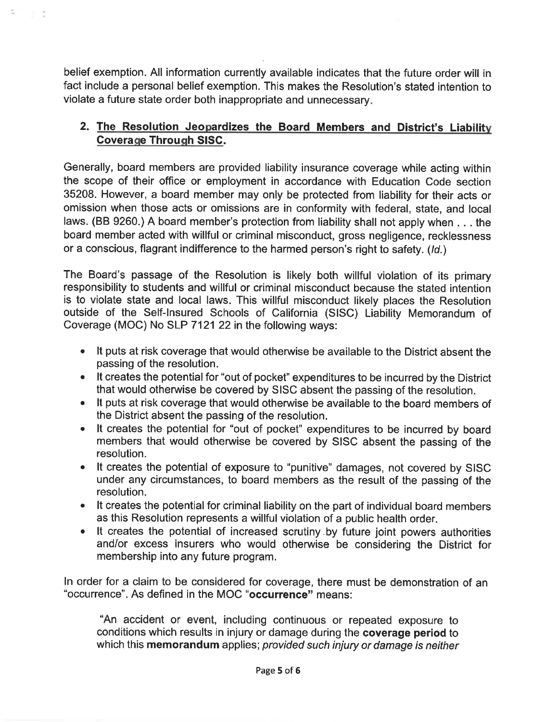belief exemption. All information currently available indicates that the future order will in fact include a personal belief exemption. This makes the Resolution's stated intention to violate a future state order both inappropriate and unnecessary.

i ya

## 2. The Resolution Jeopardizes the Board Members and District's Liability **Coverage Through SISC.**

Generally, board members are provided liability insurance coverage while acting within the scope of their office or employment in accordance with Education Code section 35208. However, a board member may only be protected from liability for their acts or omission when those acts or omissions are in conformity with federal, state, and local laws. (BB 9260.) A board member's protection from liability shall not apply when . . . the board member acted with willful or criminal misconduct, gross negligence, recklessness or a conscious, flagrant indifference to the harmed person's right to safety. (Id.)

The Board's passage of the Resolution is likely both willful violation of its primary responsibility to students and willful or criminal misconduct because the stated intention is to violate state and local laws. This willful misconduct likely places the Resolution outside of the Self-Insured Schools of California (SISC) Liability Memorandum of Coverage (MOC) No SLP 7121 22 in the following ways:

- It puts at risk coverage that would otherwise be available to the District absent the passing of the resolution.
- It creates the potential for "out of pocket" expenditures to be incurred by the District that would otherwise be covered by SISC absent the passing of the resolution.
- It puts at risk coverage that would otherwise be available to the board members of the District absent the passing of the resolution.
- It creates the potential for "out of pocket" expenditures to be incurred by board members that would otherwise be covered by SISC absent the passing of the resolution.
- It creates the potential of exposure to "punitive" damages, not covered by SISC under any circumstances, to board members as the result of the passing of the resolution.
- It creates the potential for criminal liability on the part of individual board members as this Resolution represents a willful violation of a public health order.
- It creates the potential of increased scrutiny by future joint powers authorities and/or excess insurers who would otherwise be considering the District for membership into any future program.

In order for a claim to be considered for coverage, there must be demonstration of an "occurrence". As defined in the MOC "occurrence" means:

"An accident or event, including continuous or repeated exposure to conditions which results in injury or damage during the coverage period to which this memorandum applies; provided such injury or damage is neither